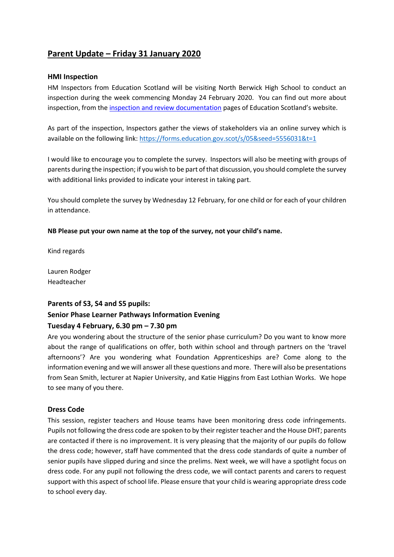# **Parent Update – Friday 31 January 2020**

## **HMI Inspection**

HM Inspectors from Education Scotland will be visiting North Berwick High School to conduct an inspection during the week commencing Monday 24 February 2020. You can find out more about inspection, from the [inspection and review documentation](https://education.gov.scot/education-scotland/what-we-do/inspection-and-review) pages of Education Scotland's website.

As part of the inspection, Inspectors gather the views of stakeholders via an online survey which is available on the following link[: https://forms.education.gov.scot/s/05&seed=5556031&t=1](https://forms.education.gov.scot/s/05&seed=5556031&t=1)

I would like to encourage you to complete the survey. Inspectors will also be meeting with groups of parents during the inspection; if you wish to be part of that discussion, you should complete the survey with additional links provided to indicate your interest in taking part.

You should complete the survey by Wednesday 12 February, for one child or for each of your children in attendance.

## **NB Please put your own name at the top of the survey, not your child's name.**

Kind regards

Lauren Rodger Headteacher

# **Parents of S3, S4 and S5 pupils:**

# **Senior Phase Learner Pathways Information Evening**

# **Tuesday 4 February, 6.30 pm – 7.30 pm**

Are you wondering about the structure of the senior phase curriculum? Do you want to know more about the range of qualifications on offer, both within school and through partners on the 'travel afternoons'? Are you wondering what Foundation Apprenticeships are? Come along to the information evening and we will answer all these questions and more. There will also be presentations from Sean Smith, lecturer at Napier University, and Katie Higgins from East Lothian Works. We hope to see many of you there.

# **Dress Code**

This session, register teachers and House teams have been monitoring dress code infringements. Pupils not following the dress code are spoken to by their register teacher and the House DHT; parents are contacted if there is no improvement. It is very pleasing that the majority of our pupils do follow the dress code; however, staff have commented that the dress code standards of quite a number of senior pupils have slipped during and since the prelims. Next week, we will have a spotlight focus on dress code. For any pupil not following the dress code, we will contact parents and carers to request support with this aspect of school life. Please ensure that your child is wearing appropriate dress code to school every day.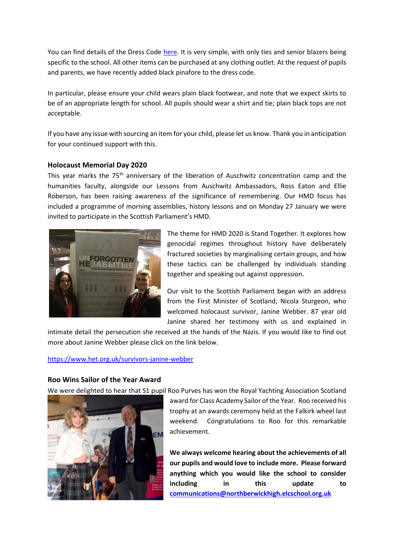You can find details of the Dress Code [here.](https://www.edubuzz.org/northberwickhigh/wp-admin/post.php?post=19636&action=edit&classic-editor) It is very simple, with only ties and senior blazers being specific to the school. All other items can be purchased at any clothing outlet. At the request of pupils and parents, we have recently added black pinafore to the dress code.

In particular, please ensure your child wears plain black footwear, and note that we expect skirts to be of an appropriate length for school. All pupils should wear a shirt and tie; plain black tops are not acceptable.

If you have any issue with sourcing an item for your child, please let us know. Thank you in anticipation for your continued support with this.

## **Holocaust Memorial Day 2020**

This year marks the 75<sup>th</sup> anniversary of the liberation of Auschwitz concentration camp and the humanities faculty, alongside our Lessons from Auschwitz Ambassadors, Ross Eaton and Ellie Roberson, has been raising awareness of the significance of remembering. Our HMD focus has included a programme of morning assemblies, history lessons and on Monday 27 January we were invited to participate in the Scottish Parliament's HMD.



The theme for HMD 2020 is Stand Together. It explores how genocidal regimes throughout history have deliberately fractured societies by marginalising certain groups, and how these tactics can be challenged by individuals standing together and speaking out against oppression.

Our visit to the Scottish Parliament began with an address from the First Minister of Scotland, Nicola Sturgeon, who welcomed holocaust survivor, Janine Webber. 87 year old Janine shared her testimony with us and explained in

intimate detail the persecution she received at the hands of the Nazis. If you would like to find out more about Janine Webber please click on the link below.

#### <https://www.het.org.uk/survivors-janine-webber>

#### **Roo Wins Sailor of the Year Award**

We were delighted to hear that S1 pupil Roo Purves has won the Royal Yachting Association Scotland



award for Class Academy Sailor of the Year. Roo received his trophy at an awards ceremony held at the Falkirk wheel last weekend. Congratulations to Roo for this remarkable achievement.

**We always welcome hearing about the achievements of all our pupils and would love to include more. Please forward anything which you would like the school to consider including in this update to [communications@northberwickhigh.elcschool.org.uk](mailto:communications@northberwickhigh.elcschool.org.uk)**